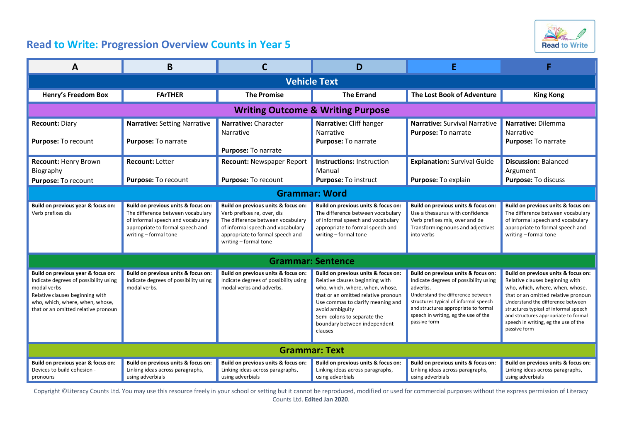

## **Read to Write: Progression Overview Counts in Year 5**

| A                                                                                                                                                                                                       | B                                                                                                                                                                          | С                                                                                                                                                                                                         | D                                                                                                                                                                                                                                                                                  | Е                                                                                                                                                                                                                                                                      |                                                                                                                                                                                                                                                                                                                                |  |  |  |
|---------------------------------------------------------------------------------------------------------------------------------------------------------------------------------------------------------|----------------------------------------------------------------------------------------------------------------------------------------------------------------------------|-----------------------------------------------------------------------------------------------------------------------------------------------------------------------------------------------------------|------------------------------------------------------------------------------------------------------------------------------------------------------------------------------------------------------------------------------------------------------------------------------------|------------------------------------------------------------------------------------------------------------------------------------------------------------------------------------------------------------------------------------------------------------------------|--------------------------------------------------------------------------------------------------------------------------------------------------------------------------------------------------------------------------------------------------------------------------------------------------------------------------------|--|--|--|
| <b>Vehicle Text</b>                                                                                                                                                                                     |                                                                                                                                                                            |                                                                                                                                                                                                           |                                                                                                                                                                                                                                                                                    |                                                                                                                                                                                                                                                                        |                                                                                                                                                                                                                                                                                                                                |  |  |  |
| Henry's Freedom Box                                                                                                                                                                                     | <b>FArTHER</b>                                                                                                                                                             | <b>The Promise</b>                                                                                                                                                                                        | <b>The Errand</b>                                                                                                                                                                                                                                                                  | The Lost Book of Adventure                                                                                                                                                                                                                                             | <b>King Kong</b>                                                                                                                                                                                                                                                                                                               |  |  |  |
| <b>Writing Outcome &amp; Writing Purpose</b>                                                                                                                                                            |                                                                                                                                                                            |                                                                                                                                                                                                           |                                                                                                                                                                                                                                                                                    |                                                                                                                                                                                                                                                                        |                                                                                                                                                                                                                                                                                                                                |  |  |  |
| <b>Recount: Diary</b><br>Purpose: To recount                                                                                                                                                            | Narrative: Setting Narrative<br>Purpose: To narrate                                                                                                                        | Narrative: Character<br>Narrative<br>Purpose: To narrate                                                                                                                                                  | Narrative: Cliff hanger<br>Narrative<br>Purpose: To narrate                                                                                                                                                                                                                        | <b>Narrative: Survival Narrative</b><br>Purpose: To narrate                                                                                                                                                                                                            | Narrative: Dilemma<br>Narrative<br>Purpose: To narrate                                                                                                                                                                                                                                                                         |  |  |  |
| <b>Recount: Henry Brown</b><br>Biography<br>Purpose: To recount                                                                                                                                         | <b>Recount: Letter</b><br>Purpose: To recount                                                                                                                              | <b>Recount: Newspaper Report</b><br>Purpose: To recount                                                                                                                                                   | <b>Instructions: Instruction</b><br>Manual<br>Purpose: To instruct                                                                                                                                                                                                                 | <b>Explanation: Survival Guide</b><br>Purpose: To explain                                                                                                                                                                                                              | <b>Discussion: Balanced</b><br>Argument<br>Purpose: To discuss                                                                                                                                                                                                                                                                 |  |  |  |
| <b>Grammar: Word</b>                                                                                                                                                                                    |                                                                                                                                                                            |                                                                                                                                                                                                           |                                                                                                                                                                                                                                                                                    |                                                                                                                                                                                                                                                                        |                                                                                                                                                                                                                                                                                                                                |  |  |  |
| Build on previous year & focus on:<br>Verb prefixes dis                                                                                                                                                 | Build on previous units & focus on:<br>The difference between vocabulary<br>of informal speech and vocabulary<br>appropriate to formal speech and<br>writing - formal tone | Build on previous units & focus on:<br>Verb prefixes re, over, dis<br>The difference between vocabulary<br>of informal speech and vocabulary<br>appropriate to formal speech and<br>writing - formal tone | Build on previous units & focus on:<br>The difference between vocabulary<br>of informal speech and vocabulary<br>appropriate to formal speech and<br>writing-formal tone                                                                                                           | Build on previous units & focus on:<br>Use a thesaurus with confidence<br>Verb prefixes mis, over and de<br>Transforming nouns and adjectives<br>into verbs                                                                                                            | Build on previous units & focus on:<br>The difference between vocabulary<br>of informal speech and vocabulary<br>appropriate to formal speech and<br>writing - formal tone                                                                                                                                                     |  |  |  |
| <b>Grammar: Sentence</b>                                                                                                                                                                                |                                                                                                                                                                            |                                                                                                                                                                                                           |                                                                                                                                                                                                                                                                                    |                                                                                                                                                                                                                                                                        |                                                                                                                                                                                                                                                                                                                                |  |  |  |
| Build on previous year & focus on:<br>Indicate degrees of possibility using<br>modal verbs<br>Relative clauses beginning with<br>who, which, where, when, whose,<br>that or an omitted relative pronoun | Build on previous units & focus on:<br>Indicate degrees of possibility using<br>modal verbs.                                                                               | Build on previous units & focus on:<br>Indicate degrees of possibility using<br>modal verbs and adverbs.                                                                                                  | Build on previous units & focus on:<br>Relative clauses beginning with<br>who, which, where, when, whose,<br>that or an omitted relative pronoun<br>Use commas to clarify meaning and<br>avoid ambiguity<br>Semi-colons to separate the<br>boundary between independent<br>clauses | Build on previous units & focus on:<br>Indicate degrees of possibility using<br>adverbs.<br>Understand the difference between<br>structures typical of informal speech<br>and structures appropriate to formal<br>speech in writing, eg the use of the<br>passive form | Build on previous units & focus on:<br>Relative clauses beginning with<br>who, which, where, when, whose,<br>that or an omitted relative pronoun<br>Understand the difference between<br>structures typical of informal speech<br>and structures appropriate to formal<br>speech in writing, eg the use of the<br>passive form |  |  |  |
| <b>Grammar: Text</b>                                                                                                                                                                                    |                                                                                                                                                                            |                                                                                                                                                                                                           |                                                                                                                                                                                                                                                                                    |                                                                                                                                                                                                                                                                        |                                                                                                                                                                                                                                                                                                                                |  |  |  |
| Build on previous year & focus on:<br>Devices to build cohesion -<br>pronouns                                                                                                                           | Build on previous units & focus on:<br>Linking ideas across paragraphs,<br>using adverbials                                                                                | Build on previous units & focus on:<br>Linking ideas across paragraphs,<br>using adverbials                                                                                                               | Build on previous units & focus on:<br>Linking ideas across paragraphs,<br>using adverbials                                                                                                                                                                                        | Build on previous units & focus on:<br>Linking ideas across paragraphs,<br>using adverbials                                                                                                                                                                            | Build on previous units & focus on:<br>Linking ideas across paragraphs,<br>using adverbials                                                                                                                                                                                                                                    |  |  |  |

Copyright ©Literacy Counts Ltd. You may use this resource freely in your school or setting but it cannot be reproduced, modified or used for commercial purposes without the express permission of Literacy Counts Ltd. **Edited Jan 2020**.